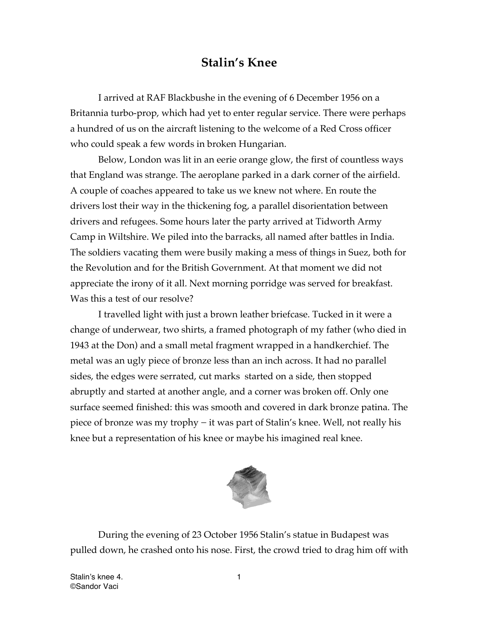## **Stalin's Knee**

I arrived at RAF Blackbushe in the evening of 6 December 1956 on a Britannia turbo-prop, which had yet to enter regular service. There were perhaps a hundred of us on the aircraft listening to the welcome of a Red Cross officer who could speak a few words in broken Hungarian.

Below, London was lit in an eerie orange glow, the first of countless ways that England was strange. The aeroplane parked in a dark corner of the airfield. A couple of coaches appeared to take us we knew not where. En route the drivers lost their way in the thickening fog, a parallel disorientation between drivers and refugees. Some hours later the party arrived at Tidworth Army Camp in Wiltshire. We piled into the barracks, all named after battles in India. The soldiers vacating them were busily making a mess of things in Suez, both for the Revolution and for the British Government. At that moment we did not appreciate the irony of it all. Next morning porridge was served for breakfast. Was this a test of our resolve?

I travelled light with just a brown leather briefcase. Tucked in it were a change of underwear, two shirts, a framed photograph of my father (who died in 1943 at the Don) and a small metal fragment wrapped in a handkerchief. The metal was an ugly piece of bronze less than an inch across. It had no parallel sides, the edges were serrated, cut marks started on a side, then stopped abruptly and started at another angle, and a corner was broken off. Only one surface seemed finished: this was smooth and covered in dark bronze patina. The piece of bronze was my trophy − it was part of Stalin's knee. Well, not really his knee but a representation of his knee or maybe his imagined real knee.



During the evening of 23 October 1956 Stalin's statue in Budapest was pulled down, he crashed onto his nose. First, the crowd tried to drag him off with

Stalin's knee 4. 1 ©Sandor Vaci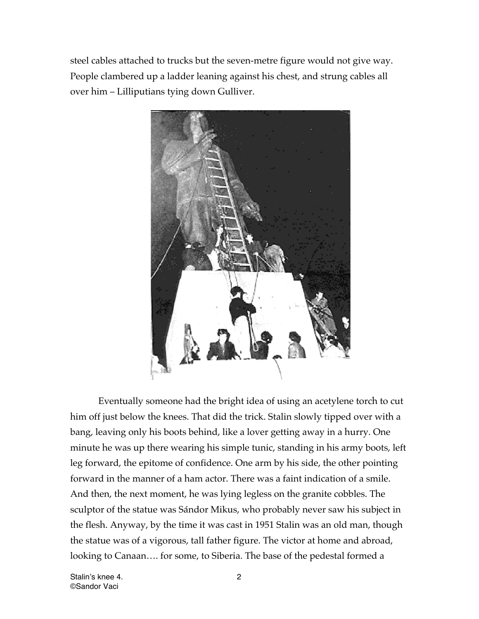steel cables attached to trucks but the seven-metre figure would not give way. People clambered up a ladder leaning against his chest, and strung cables all over him – Lilliputians tying down Gulliver.



Eventually someone had the bright idea of using an acetylene torch to cut him off just below the knees. That did the trick. Stalin slowly tipped over with a bang, leaving only his boots behind, like a lover getting away in a hurry. One minute he was up there wearing his simple tunic, standing in his army boots, left leg forward, the epitome of confidence. One arm by his side, the other pointing forward in the manner of a ham actor. There was a faint indication of a smile. And then, the next moment, he was lying legless on the granite cobbles. The sculptor of the statue was Sándor Mikus, who probably never saw his subject in the flesh. Anyway, by the time it was cast in 1951 Stalin was an old man, though the statue was of a vigorous, tall father figure. The victor at home and abroad, looking to Canaan…. for some, to Siberia. The base of the pedestal formed a

Stalin's knee 4. 2 ©Sandor Vaci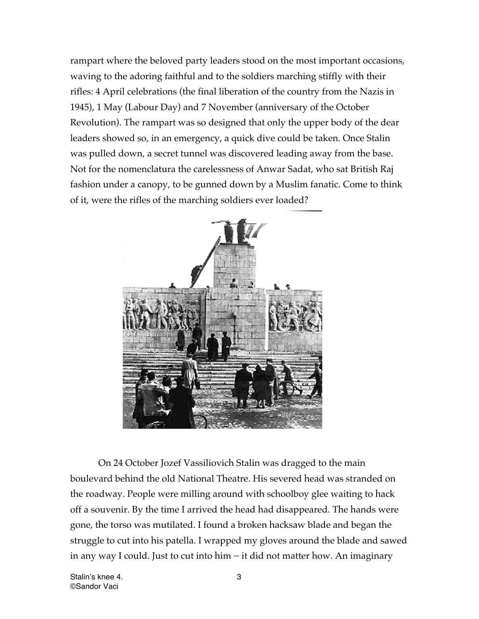rampart where the beloved party leaders stood on the most important occasions, waving to the adoring faithful and to the soldiers marching stiffly with their rifles: 4 April celebrations (the final liberation of the country from the Nazis in 1945), 1 May (Labour Day) and 7 November (anniversary of the October Revolution). The rampart was so designed that only the upper body of the dear leaders showed so, in an emergency, a quick dive could be taken. Once Stalin was pulled down, a secret tunnel was discovered leading away from the base. Not for the nomenclatura the carelessness of Anwar Sadat, who sat British Raj fashion under a canopy, to be gunned down by a Muslim fanatic. Come to think of it, were the rifles of the marching soldiers ever loaded?



On 24 October Jozef Vassiliovich Stalin was dragged to the main boulevard behind the old National Theatre. His severed head was stranded on the roadway. People were milling around with schoolboy glee waiting to hack off a souvenir. By the time I arrived the head had disappeared. The hands were gone, the torso was mutilated. I found a broken hacksaw blade and began the struggle to cut into his patella. I wrapped my gloves around the blade and sawed in any way I could. Just to cut into him − it did not matter how. An imaginary

Stalin's knee 4. 3 ©Sandor Vaci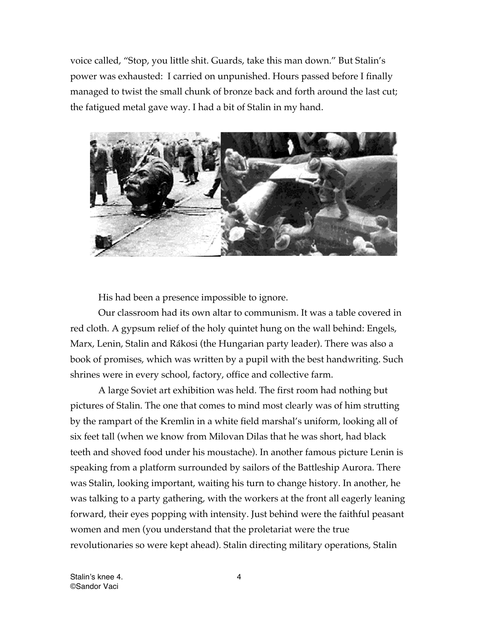voice called, "Stop, you little shit. Guards, take this man down." But Stalin's power was exhausted: I carried on unpunished. Hours passed before I finally managed to twist the small chunk of bronze back and forth around the last cut; the fatigued metal gave way. I had a bit of Stalin in my hand.



His had been a presence impossible to ignore.

Our classroom had its own altar to communism. It was a table covered in red cloth. A gypsum relief of the holy quintet hung on the wall behind: Engels, Marx, Lenin, Stalin and Rákosi (the Hungarian party leader). There was also a book of promises, which was written by a pupil with the best handwriting. Such shrines were in every school, factory, office and collective farm.

A large Soviet art exhibition was held. The first room had nothing but pictures of Stalin. The one that comes to mind most clearly was of him strutting by the rampart of the Kremlin in a white field marshal's uniform, looking all of six feet tall (when we know from Milovan Dilas that he was short, had black teeth and shoved food under his moustache). In another famous picture Lenin is speaking from a platform surrounded by sailors of the Battleship Aurora. There was Stalin, looking important, waiting his turn to change history. In another, he was talking to a party gathering, with the workers at the front all eagerly leaning forward, their eyes popping with intensity. Just behind were the faithful peasant women and men (you understand that the proletariat were the true revolutionaries so were kept ahead). Stalin directing military operations, Stalin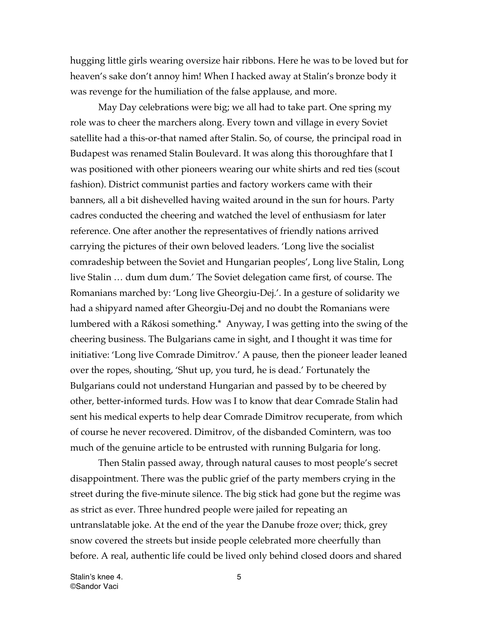hugging little girls wearing oversize hair ribbons. Here he was to be loved but for heaven's sake don't annoy him! When I hacked away at Stalin's bronze body it was revenge for the humiliation of the false applause, and more.

May Day celebrations were big; we all had to take part. One spring my role was to cheer the marchers along. Every town and village in every Soviet satellite had a this-or-that named after Stalin. So, of course, the principal road in Budapest was renamed Stalin Boulevard. It was along this thoroughfare that I was positioned with other pioneers wearing our white shirts and red ties (scout fashion). District communist parties and factory workers came with their banners, all a bit dishevelled having waited around in the sun for hours. Party cadres conducted the cheering and watched the level of enthusiasm for later reference. One after another the representatives of friendly nations arrived carrying the pictures of their own beloved leaders. 'Long live the socialist comradeship between the Soviet and Hungarian peoples', Long live Stalin, Long live Stalin … dum dum dum.' The Soviet delegation came first, of course. The Romanians marched by: 'Long live Gheorgiu-Dej.'. In a gesture of solidarity we had a shipyard named after Gheorgiu-Dej and no doubt the Romanians were lumbered with a Rákosi something.\* Anyway, I was getting into the swing of the cheering business. The Bulgarians came in sight, and I thought it was time for initiative: 'Long live Comrade Dimitrov.' A pause, then the pioneer leader leaned over the ropes, shouting, 'Shut up, you turd, he is dead.' Fortunately the Bulgarians could not understand Hungarian and passed by to be cheered by other, better-informed turds. How was I to know that dear Comrade Stalin had sent his medical experts to help dear Comrade Dimitrov recuperate, from which of course he never recovered. Dimitrov, of the disbanded Comintern, was too much of the genuine article to be entrusted with running Bulgaria for long.

Then Stalin passed away, through natural causes to most people's secret disappointment. There was the public grief of the party members crying in the street during the five-minute silence. The big stick had gone but the regime was as strict as ever. Three hundred people were jailed for repeating an untranslatable joke. At the end of the year the Danube froze over; thick, grey snow covered the streets but inside people celebrated more cheerfully than before. A real, authentic life could be lived only behind closed doors and shared

Stalin's knee 4. 5 ©Sandor Vaci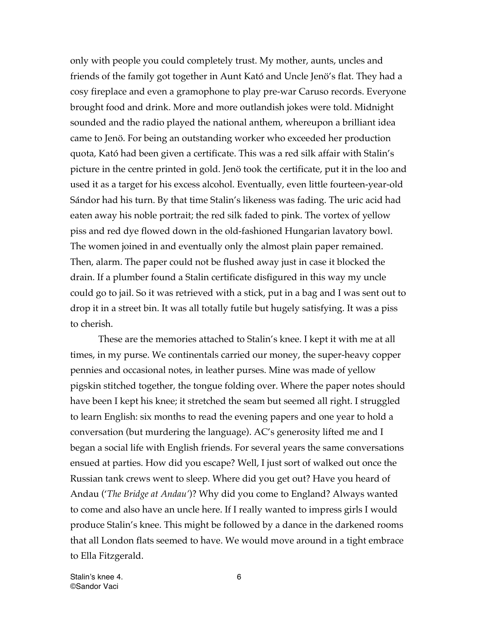only with people you could completely trust. My mother, aunts, uncles and friends of the family got together in Aunt Kató and Uncle Jenö's flat. They had a cosy fireplace and even a gramophone to play pre-war Caruso records. Everyone brought food and drink. More and more outlandish jokes were told. Midnight sounded and the radio played the national anthem, whereupon a brilliant idea came to Jenö. For being an outstanding worker who exceeded her production quota, Kató had been given a certificate. This was a red silk affair with Stalin's picture in the centre printed in gold. Jenö took the certificate, put it in the loo and used it as a target for his excess alcohol. Eventually, even little fourteen-year-old Sándor had his turn. By that time Stalin's likeness was fading. The uric acid had eaten away his noble portrait; the red silk faded to pink. The vortex of yellow piss and red dye flowed down in the old-fashioned Hungarian lavatory bowl. The women joined in and eventually only the almost plain paper remained. Then, alarm. The paper could not be flushed away just in case it blocked the drain. If a plumber found a Stalin certificate disfigured in this way my uncle could go to jail. So it was retrieved with a stick, put in a bag and I was sent out to drop it in a street bin. It was all totally futile but hugely satisfying. It was a piss to cherish.

These are the memories attached to Stalin's knee. I kept it with me at all times, in my purse. We continentals carried our money, the super-heavy copper pennies and occasional notes, in leather purses. Mine was made of yellow pigskin stitched together, the tongue folding over. Where the paper notes should have been I kept his knee; it stretched the seam but seemed all right. I struggled to learn English: six months to read the evening papers and one year to hold a conversation (but murdering the language). AC's generosity lifted me and I began a social life with English friends. For several years the same conversations ensued at parties. How did you escape? Well, I just sort of walked out once the Russian tank crews went to sleep. Where did you get out? Have you heard of Andau ('*The Bridge at Andau'*)? Why did you come to England? Always wanted to come and also have an uncle here. If I really wanted to impress girls I would produce Stalin's knee. This might be followed by a dance in the darkened rooms that all London flats seemed to have. We would move around in a tight embrace to Ella Fitzgerald.

Stalin's knee 4. 6 ©Sandor Vaci